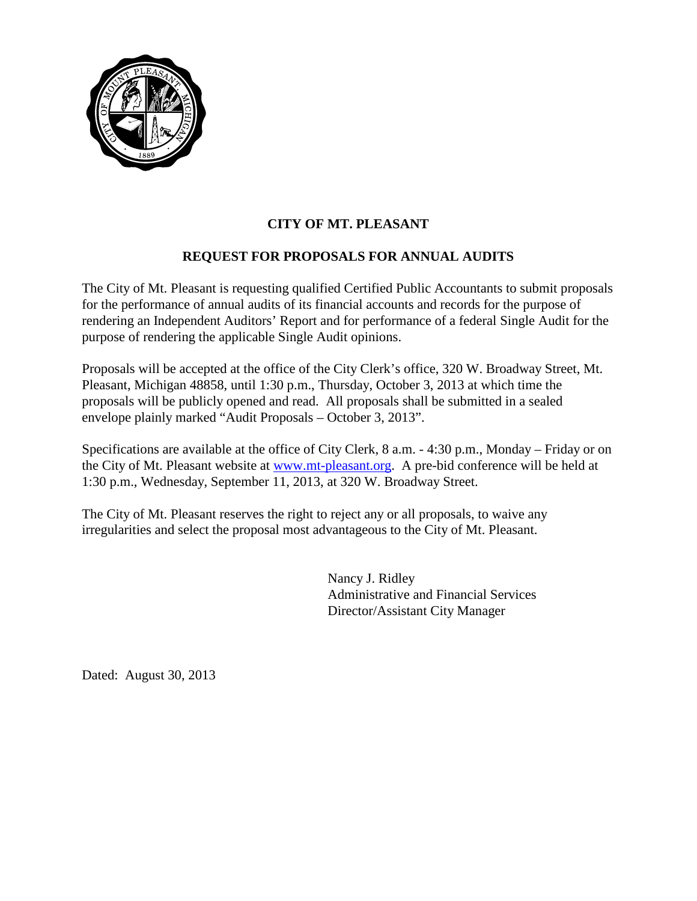

## **REQUEST FOR PROPOSALS FOR ANNUAL AUDITS**

The City of Mt. Pleasant is requesting qualified Certified Public Accountants to submit proposals for the performance of annual audits of its financial accounts and records for the purpose of rendering an Independent Auditors' Report and for performance of a federal Single Audit for the purpose of rendering the applicable Single Audit opinions.

Proposals will be accepted at the office of the City Clerk's office, 320 W. Broadway Street, Mt. Pleasant, Michigan 48858, until 1:30 p.m., Thursday, October 3, 2013 at which time the proposals will be publicly opened and read. All proposals shall be submitted in a sealed envelope plainly marked "Audit Proposals – October 3, 2013".

Specifications are available at the office of City Clerk, 8 a.m. - 4:30 p.m., Monday – Friday or on the City of Mt. Pleasant website at www.mt-pleasant.org. A pre-bid conference will be held at 1:30 p.m., Wednesday, September 11, 2013, at 320 W. Broadway Street.

The City of Mt. Pleasant reserves the right to reject any or all proposals, to waive any irregularities and select the proposal most advantageous to the City of Mt. Pleasant.

> Nancy J. Ridley Administrative and Financial Services Director/Assistant City Manager

Dated: August 30, 2013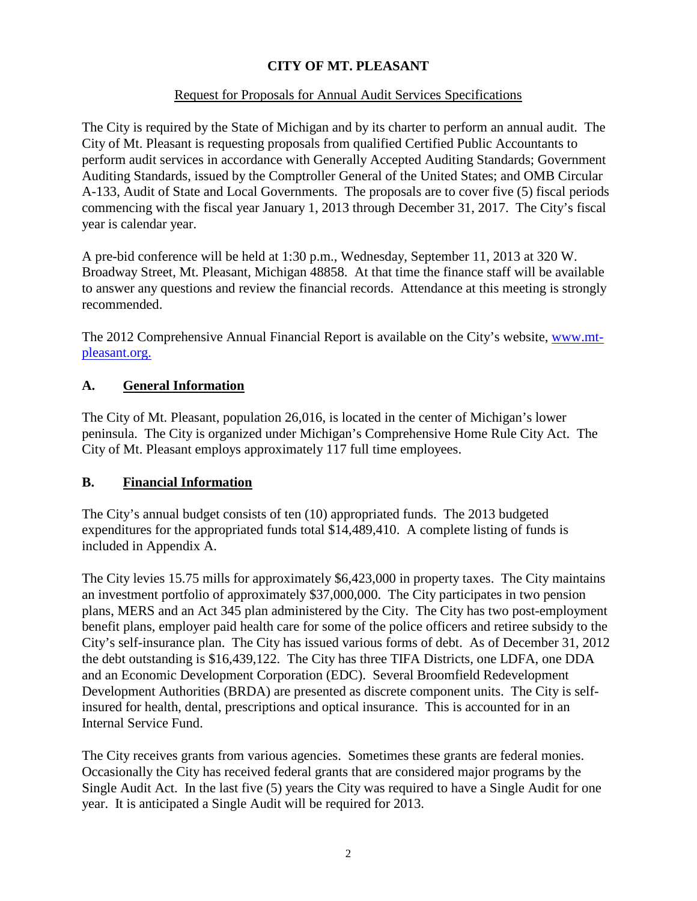#### Request for Proposals for Annual Audit Services Specifications

The City is required by the State of Michigan and by its charter to perform an annual audit. The City of Mt. Pleasant is requesting proposals from qualified Certified Public Accountants to perform audit services in accordance with Generally Accepted Auditing Standards; Government Auditing Standards, issued by the Comptroller General of the United States; and OMB Circular A-133, Audit of State and Local Governments. The proposals are to cover five (5) fiscal periods commencing with the fiscal year January 1, 2013 through December 31, 2017. The City's fiscal year is calendar year.

A pre-bid conference will be held at 1:30 p.m., Wednesday, September 11, 2013 at 320 W. Broadway Street, Mt. Pleasant, Michigan 48858. At that time the finance staff will be available to answer any questions and review the financial records. Attendance at this meeting is strongly recommended.

The 2012 Comprehensive Annual Financial Report is available on the City's website, www.mtpleasant.org.

#### **A. General Information**

The City of Mt. Pleasant, population 26,016, is located in the center of Michigan's lower peninsula. The City is organized under Michigan's Comprehensive Home Rule City Act. The City of Mt. Pleasant employs approximately 117 full time employees.

#### **B. Financial Information**

The City's annual budget consists of ten (10) appropriated funds. The 2013 budgeted expenditures for the appropriated funds total \$14,489,410. A complete listing of funds is included in Appendix A.

The City levies 15.75 mills for approximately \$6,423,000 in property taxes. The City maintains an investment portfolio of approximately \$37,000,000. The City participates in two pension plans, MERS and an Act 345 plan administered by the City. The City has two post-employment benefit plans, employer paid health care for some of the police officers and retiree subsidy to the City's self-insurance plan. The City has issued various forms of debt. As of December 31, 2012 the debt outstanding is \$16,439,122. The City has three TIFA Districts, one LDFA, one DDA and an Economic Development Corporation (EDC). Several Broomfield Redevelopment Development Authorities (BRDA) are presented as discrete component units. The City is selfinsured for health, dental, prescriptions and optical insurance. This is accounted for in an Internal Service Fund.

The City receives grants from various agencies. Sometimes these grants are federal monies. Occasionally the City has received federal grants that are considered major programs by the Single Audit Act. In the last five (5) years the City was required to have a Single Audit for one year. It is anticipated a Single Audit will be required for 2013.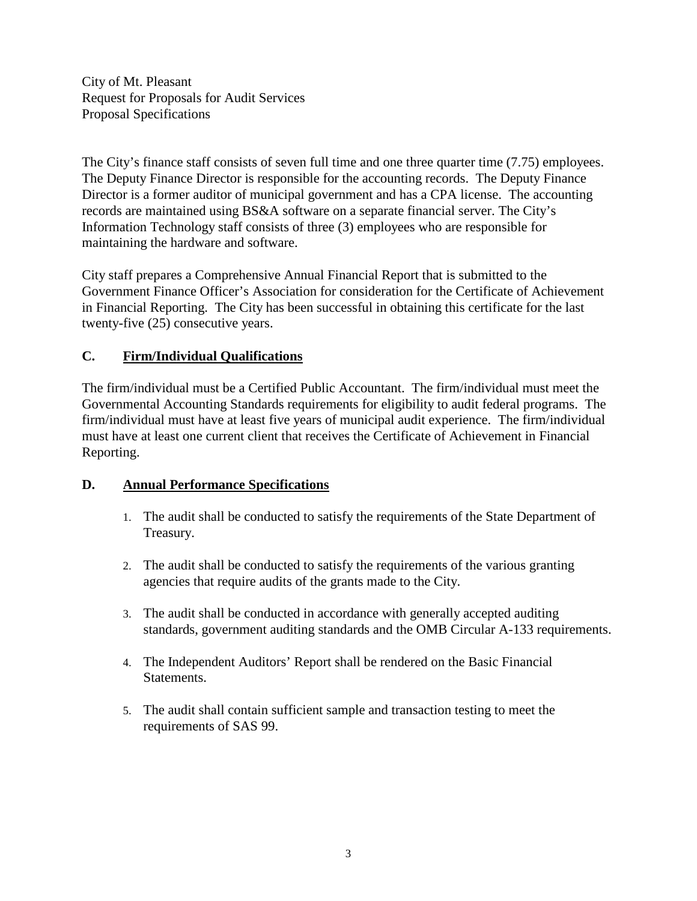City of Mt. Pleasant Request for Proposals for Audit Services Proposal Specifications

The City's finance staff consists of seven full time and one three quarter time (7.75) employees. The Deputy Finance Director is responsible for the accounting records. The Deputy Finance Director is a former auditor of municipal government and has a CPA license. The accounting records are maintained using BS&A software on a separate financial server. The City's Information Technology staff consists of three (3) employees who are responsible for maintaining the hardware and software.

City staff prepares a Comprehensive Annual Financial Report that is submitted to the Government Finance Officer's Association for consideration for the Certificate of Achievement in Financial Reporting. The City has been successful in obtaining this certificate for the last twenty-five (25) consecutive years.

## **C. Firm/Individual Qualifications**

The firm/individual must be a Certified Public Accountant. The firm/individual must meet the Governmental Accounting Standards requirements for eligibility to audit federal programs. The firm/individual must have at least five years of municipal audit experience. The firm/individual must have at least one current client that receives the Certificate of Achievement in Financial Reporting.

## **D. Annual Performance Specifications**

- 1. The audit shall be conducted to satisfy the requirements of the State Department of Treasury.
- 2. The audit shall be conducted to satisfy the requirements of the various granting agencies that require audits of the grants made to the City.
- 3. The audit shall be conducted in accordance with generally accepted auditing standards, government auditing standards and the OMB Circular A-133 requirements.
- 4. The Independent Auditors' Report shall be rendered on the Basic Financial Statements.
- 5. The audit shall contain sufficient sample and transaction testing to meet the requirements of SAS 99.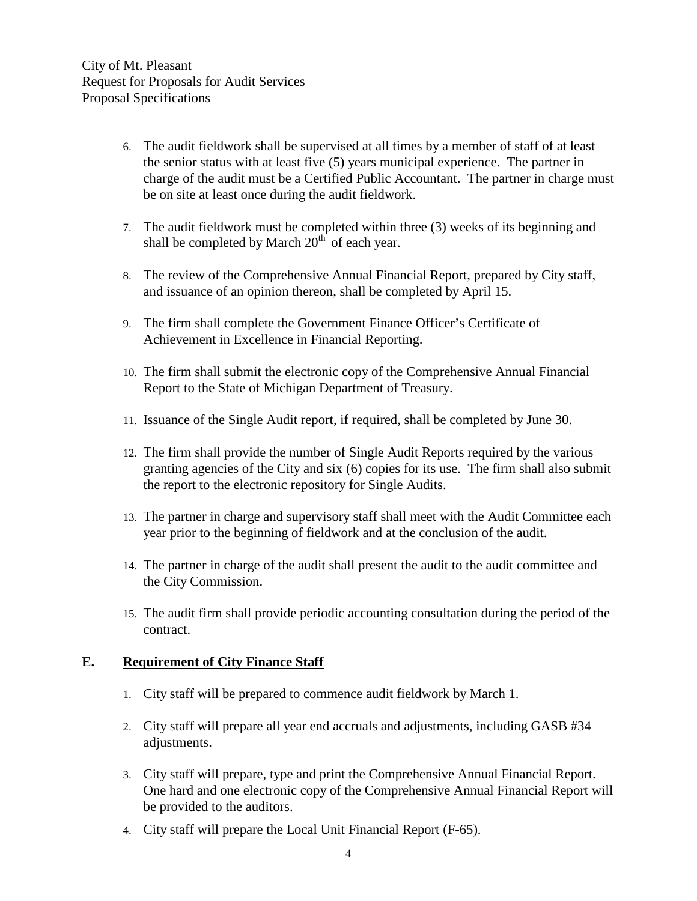City of Mt. Pleasant Request for Proposals for Audit Services Proposal Specifications

- 6. The audit fieldwork shall be supervised at all times by a member of staff of at least the senior status with at least five (5) years municipal experience. The partner in charge of the audit must be a Certified Public Accountant. The partner in charge must be on site at least once during the audit fieldwork.
- 7. The audit fieldwork must be completed within three (3) weeks of its beginning and shall be completed by March  $20<sup>th</sup>$  of each year.
- 8. The review of the Comprehensive Annual Financial Report, prepared by City staff, and issuance of an opinion thereon, shall be completed by April 15.
- 9. The firm shall complete the Government Finance Officer's Certificate of Achievement in Excellence in Financial Reporting.
- 10. The firm shall submit the electronic copy of the Comprehensive Annual Financial Report to the State of Michigan Department of Treasury.
- 11. Issuance of the Single Audit report, if required, shall be completed by June 30.
- 12. The firm shall provide the number of Single Audit Reports required by the various granting agencies of the City and six (6) copies for its use. The firm shall also submit the report to the electronic repository for Single Audits.
- 13. The partner in charge and supervisory staff shall meet with the Audit Committee each year prior to the beginning of fieldwork and at the conclusion of the audit.
- 14. The partner in charge of the audit shall present the audit to the audit committee and the City Commission.
- 15. The audit firm shall provide periodic accounting consultation during the period of the contract.

#### **E. Requirement of City Finance Staff**

- 1. City staff will be prepared to commence audit fieldwork by March 1.
- 2. City staff will prepare all year end accruals and adjustments, including GASB #34 adjustments.
- 3. City staff will prepare, type and print the Comprehensive Annual Financial Report. One hard and one electronic copy of the Comprehensive Annual Financial Report will be provided to the auditors.
- 4. City staff will prepare the Local Unit Financial Report (F-65).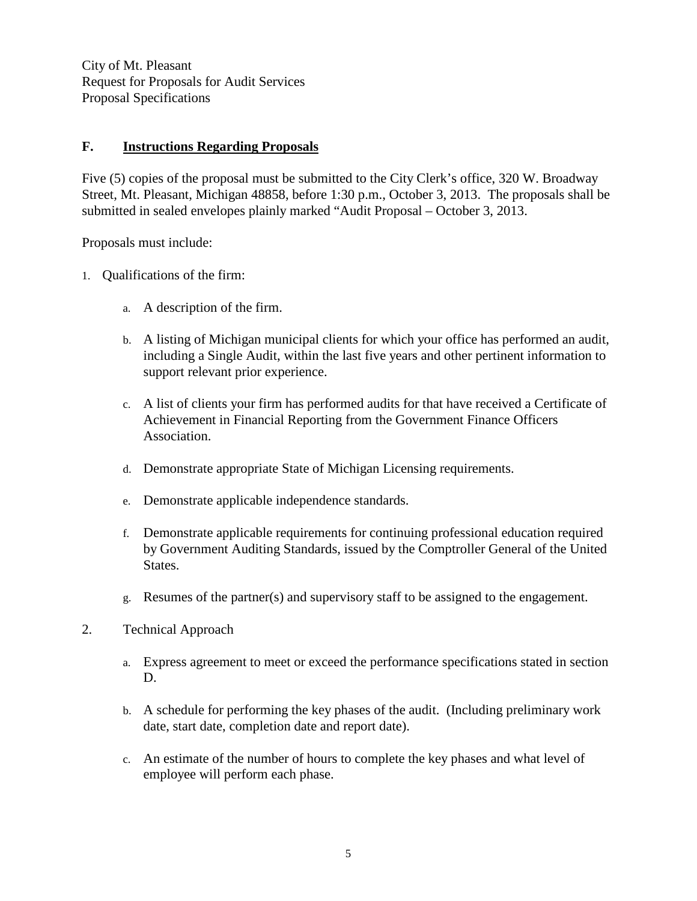City of Mt. Pleasant Request for Proposals for Audit Services Proposal Specifications

#### **F. Instructions Regarding Proposals**

Five (5) copies of the proposal must be submitted to the City Clerk's office, 320 W. Broadway Street, Mt. Pleasant, Michigan 48858, before 1:30 p.m., October 3, 2013. The proposals shall be submitted in sealed envelopes plainly marked "Audit Proposal – October 3, 2013.

Proposals must include:

- 1. Qualifications of the firm:
	- a. A description of the firm.
	- b. A listing of Michigan municipal clients for which your office has performed an audit, including a Single Audit, within the last five years and other pertinent information to support relevant prior experience.
	- c. A list of clients your firm has performed audits for that have received a Certificate of Achievement in Financial Reporting from the Government Finance Officers Association.
	- d. Demonstrate appropriate State of Michigan Licensing requirements.
	- e. Demonstrate applicable independence standards.
	- f. Demonstrate applicable requirements for continuing professional education required by Government Auditing Standards, issued by the Comptroller General of the United States.
	- g. Resumes of the partner(s) and supervisory staff to be assigned to the engagement.
- 2. Technical Approach
	- a. Express agreement to meet or exceed the performance specifications stated in section D.
	- b. A schedule for performing the key phases of the audit. (Including preliminary work date, start date, completion date and report date).
	- c. An estimate of the number of hours to complete the key phases and what level of employee will perform each phase.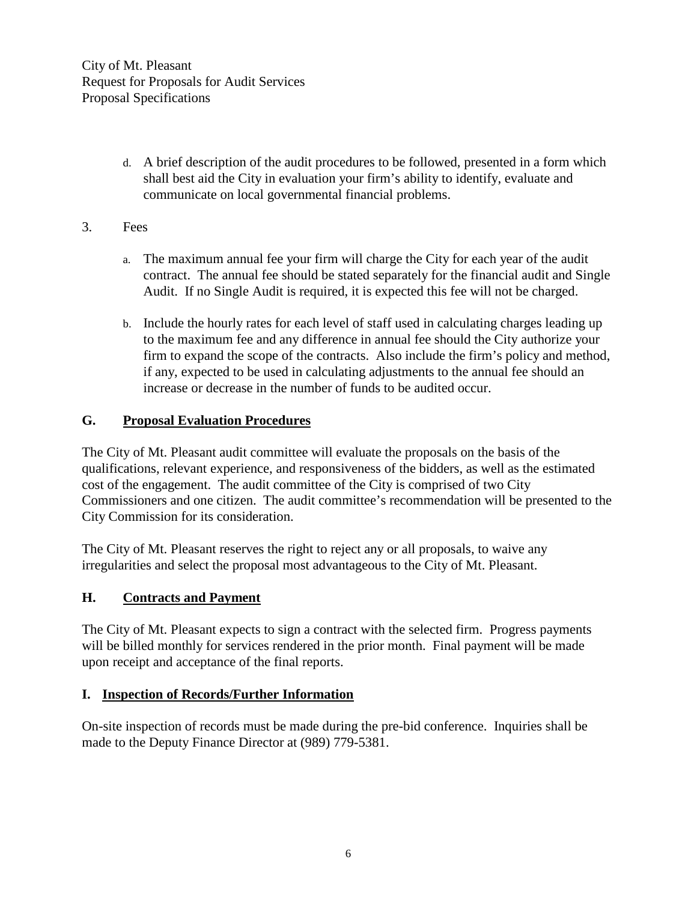d. A brief description of the audit procedures to be followed, presented in a form which shall best aid the City in evaluation your firm's ability to identify, evaluate and communicate on local governmental financial problems.

#### 3. Fees

- a. The maximum annual fee your firm will charge the City for each year of the audit contract. The annual fee should be stated separately for the financial audit and Single Audit. If no Single Audit is required, it is expected this fee will not be charged.
- b. Include the hourly rates for each level of staff used in calculating charges leading up to the maximum fee and any difference in annual fee should the City authorize your firm to expand the scope of the contracts. Also include the firm's policy and method, if any, expected to be used in calculating adjustments to the annual fee should an increase or decrease in the number of funds to be audited occur.

#### **G. Proposal Evaluation Procedures**

The City of Mt. Pleasant audit committee will evaluate the proposals on the basis of the qualifications, relevant experience, and responsiveness of the bidders, as well as the estimated cost of the engagement. The audit committee of the City is comprised of two City Commissioners and one citizen. The audit committee's recommendation will be presented to the City Commission for its consideration.

The City of Mt. Pleasant reserves the right to reject any or all proposals, to waive any irregularities and select the proposal most advantageous to the City of Mt. Pleasant.

#### **H. Contracts and Payment**

The City of Mt. Pleasant expects to sign a contract with the selected firm. Progress payments will be billed monthly for services rendered in the prior month. Final payment will be made upon receipt and acceptance of the final reports.

#### **I. Inspection of Records/Further Information**

On-site inspection of records must be made during the pre-bid conference. Inquiries shall be made to the Deputy Finance Director at (989) 779-5381.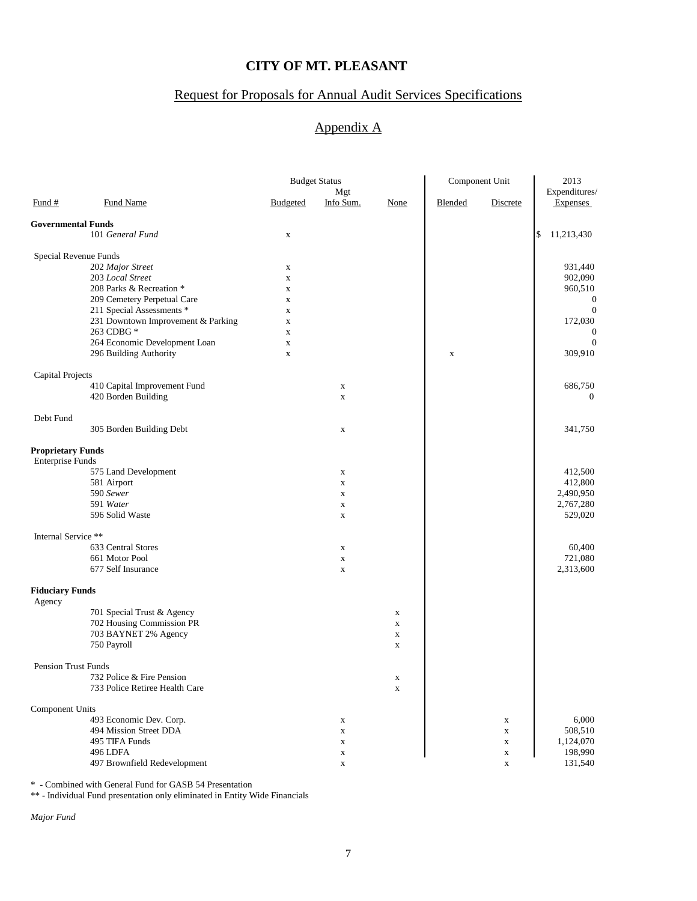## Request for Proposals for Annual Audit Services Specifications

## Appendix A

|                            |                                    | <b>Budget Status</b>       |             |             | Component Unit |                 | 2013             |
|----------------------------|------------------------------------|----------------------------|-------------|-------------|----------------|-----------------|------------------|
|                            |                                    |                            | Mgt         |             |                |                 | Expenditures/    |
| $\frac{Fund#}{}$           | <b>Fund Name</b>                   | <b>Budgeted</b>            | Info Sum.   | None        | Blended        | <b>Discrete</b> | <b>Expenses</b>  |
| <b>Governmental Funds</b>  |                                    |                            |             |             |                |                 |                  |
|                            | 101 General Fund                   | $\mathbf X$                |             |             |                |                 | \$<br>11,213,430 |
|                            |                                    |                            |             |             |                |                 |                  |
| Special Revenue Funds      | 202 Major Street                   |                            |             |             |                |                 | 931,440          |
|                            | 203 Local Street                   | $\mathbf X$                |             |             |                |                 | 902,090          |
|                            | 208 Parks & Recreation *           | $\mathbf X$<br>$\mathbf X$ |             |             |                |                 | 960,510          |
|                            | 209 Cemetery Perpetual Care        | $\mathbf X$                |             |             |                |                 | $\mathbf{0}$     |
|                            | 211 Special Assessments *          | $\mathbf X$                |             |             |                |                 | $\boldsymbol{0}$ |
|                            | 231 Downtown Improvement & Parking | $\mathbf X$                |             |             |                |                 | 172,030          |
|                            | 263 CDBG *                         | $\mathbf X$                |             |             |                |                 | $\mathbf{0}$     |
|                            | 264 Economic Development Loan      | $\mathbf X$                |             |             |                |                 | $\mathbf{0}$     |
|                            | 296 Building Authority             | $\mathbf X$                |             |             | $\mathbf X$    |                 | 309,910          |
|                            |                                    |                            |             |             |                |                 |                  |
| Capital Projects           | 410 Capital Improvement Fund       |                            | $\mathbf X$ |             |                |                 | 686,750          |
|                            | 420 Borden Building                |                            | $\mathbf X$ |             |                |                 | $\mathbf{0}$     |
|                            |                                    |                            |             |             |                |                 |                  |
| Debt Fund                  |                                    |                            |             |             |                |                 |                  |
|                            | 305 Borden Building Debt           |                            | $\mathbf X$ |             |                |                 | 341,750          |
| <b>Proprietary Funds</b>   |                                    |                            |             |             |                |                 |                  |
| <b>Enterprise Funds</b>    |                                    |                            |             |             |                |                 |                  |
|                            | 575 Land Development               |                            | $\mathbf X$ |             |                |                 | 412,500          |
|                            | 581 Airport                        |                            | $\mathbf X$ |             |                |                 | 412,800          |
|                            | 590 Sewer                          |                            | $\mathbf X$ |             |                |                 | 2,490,950        |
|                            | 591 Water                          |                            | $\mathbf X$ |             |                |                 | 2,767,280        |
|                            | 596 Solid Waste                    |                            | $\mathbf X$ |             |                |                 | 529,020          |
| Internal Service **        |                                    |                            |             |             |                |                 |                  |
|                            | 633 Central Stores                 |                            | $\mathbf X$ |             |                |                 | 60,400           |
|                            | 661 Motor Pool                     |                            | $\mathbf X$ |             |                |                 | 721,080          |
|                            | 677 Self Insurance                 |                            | $\mathbf X$ |             |                |                 | 2,313,600        |
|                            |                                    |                            |             |             |                |                 |                  |
| <b>Fiduciary Funds</b>     |                                    |                            |             |             |                |                 |                  |
| Agency                     | 701 Special Trust & Agency         |                            |             | $\mathbf X$ |                |                 |                  |
|                            | 702 Housing Commission PR          |                            |             | $\mathbf X$ |                |                 |                  |
|                            | 703 BAYNET 2% Agency               |                            |             | $\mathbf X$ |                |                 |                  |
|                            | 750 Payroll                        |                            |             | $\mathbf X$ |                |                 |                  |
|                            |                                    |                            |             |             |                |                 |                  |
| <b>Pension Trust Funds</b> |                                    |                            |             |             |                |                 |                  |
|                            | 732 Police & Fire Pension          |                            |             | $\mathbf X$ |                |                 |                  |
|                            | 733 Police Retiree Health Care     |                            |             | $\mathbf X$ |                |                 |                  |
| Component Units            |                                    |                            |             |             |                |                 |                  |
|                            | 493 Economic Dev. Corp.            |                            | $\mathbf X$ |             |                | $\mathbf X$     | 6,000            |
|                            | 494 Mission Street DDA             |                            | $\mathbf X$ |             |                | $\mathbf X$     | 508,510          |
|                            | 495 TIFA Funds                     |                            | $\mathbf X$ |             |                | $\mathbf X$     | 1,124,070        |
|                            | 496 LDFA                           |                            | $\mathbf X$ |             |                | $\mathbf X$     | 198,990          |
|                            | 497 Brownfield Redevelopment       |                            | $\mathbf x$ |             |                | $\mathbf x$     | 131,540          |

\* - Combined with General Fund for GASB 54 Presentation

\*\* - Individual Fund presentation only eliminated in Entity Wide Financials

*Major Fund*